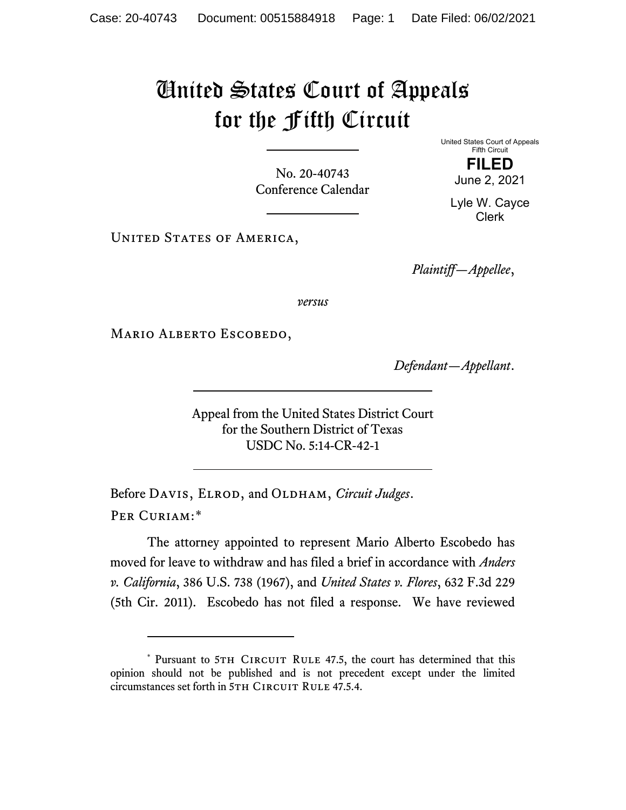## United States Court of Appeals for the Fifth Circuit

No. 20-40743 Conference Calendar United States Court of Appeals Fifth Circuit

> **FILED** June 2, 2021

Lyle W. Cayce Clerk

UNITED STATES OF AMERICA,

*Plaintiff—Appellee*,

*versus*

MARIO ALBERTO ESCOBEDO,

*Defendant—Appellant*.

Appeal from the United States District Court for the Southern District of Texas USDC No. 5:14-CR-42-1

Before DAVIS, ELROD, and OLDHAM, *Circuit Judges*. Per Curiam:[\\*](#page-0-0)

The attorney appointed to represent Mario Alberto Escobedo has moved for leave to withdraw and has filed a brief in accordance with *Anders v. California*, 386 U.S. 738 (1967), and *United States v. Flores*, 632 F.3d 229 (5th Cir. 2011). Escobedo has not filed a response. We have reviewed

<span id="page-0-0"></span><sup>\*</sup> Pursuant to 5TH CIRCUIT RULE 47.5, the court has determined that this opinion should not be published and is not precedent except under the limited circumstances set forth in 5TH CIRCUIT RULE 47.5.4.